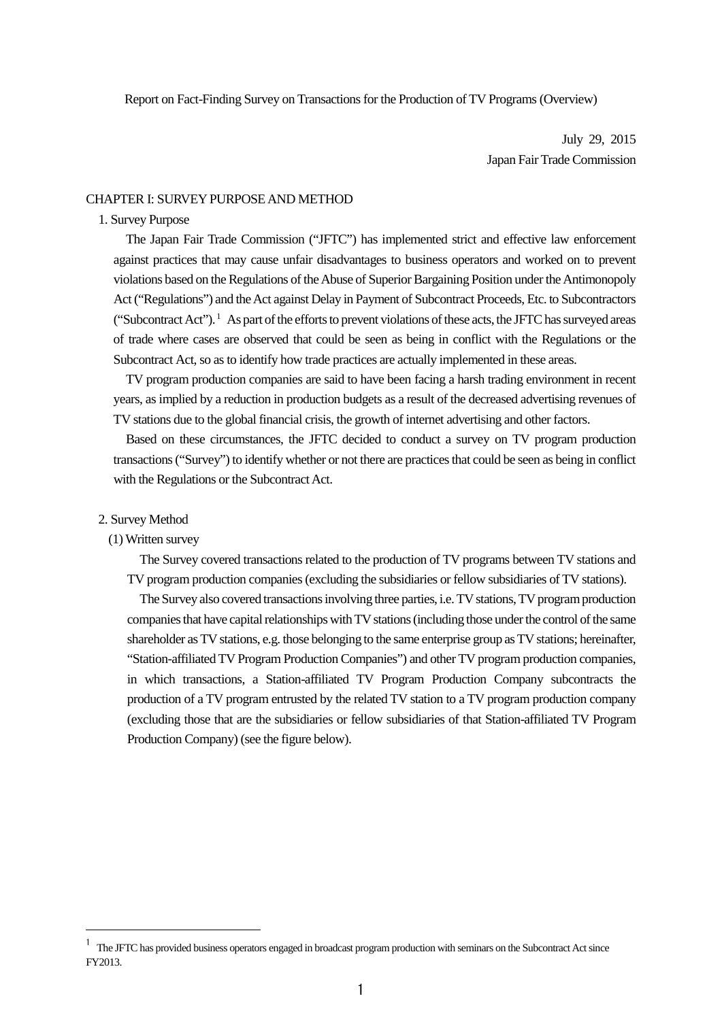Report on Fact-Finding Survey on Transactions for the Production of TV Programs (Overview)

July 29, 2015 Japan Fair Trade Commission

## CHAPTER I: SURVEY PURPOSE AND METHOD

# 1. Survey Purpose

The Japan Fair Trade Commission ("JFTC") has implemented strict and effective law enforcement against practices that may cause unfair disadvantages to business operators and worked on to prevent violations based on the Regulations of the Abuse of Superior Bargaining Position under the Antimonopoly Act ("Regulations") and the Act against Delay in Payment of Subcontract Proceeds, Etc. to Subcontractors ("Subcontract Act").<sup>[1](#page-0-0)</sup> As part of the efforts to prevent violations of these acts, the JFTC has surveyed areas of trade where cases are observed that could be seen as being in conflict with the Regulations or the Subcontract Act, so as to identify how trade practices are actually implemented in these areas.

TV program production companies are said to have been facing a harsh trading environment in recent years, as implied by a reduction in production budgets as a result of the decreased advertising revenues of TV stations due to the global financial crisis, the growth of internet advertising and other factors.

Based on these circumstances, the JFTC decided to conduct a survey on TV program production transactions("Survey") to identify whether or not there are practices that could be seen as being in conflict with the Regulations or the Subcontract Act.

#### 2. Survey Method

<u>.</u>

# (1) Written survey

The Survey covered transactions related to the production of TV programs between TV stations and TV program production companies (excluding the subsidiaries or fellow subsidiaries of TV stations).

The Survey also covered transactions involving three parties, i.e. TV stations, TV program production companies that have capital relationships with TV stations (including those under the control of the same shareholder as TV stations, e.g. those belonging to the same enterprise group as TV stations; hereinafter, "Station-affiliated TV Program Production Companies") and other TV program production companies, in which transactions, a Station-affiliated TV Program Production Company subcontracts the production of a TV program entrusted by the related TV station to a TV program production company (excluding those that are the subsidiaries or fellow subsidiaries of that Station-affiliated TV Program Production Company) (see the figure below).

<span id="page-0-0"></span> $1$  The JFTC has provided business operators engaged in broadcast program production with seminars on the Subcontract Act since FY2013.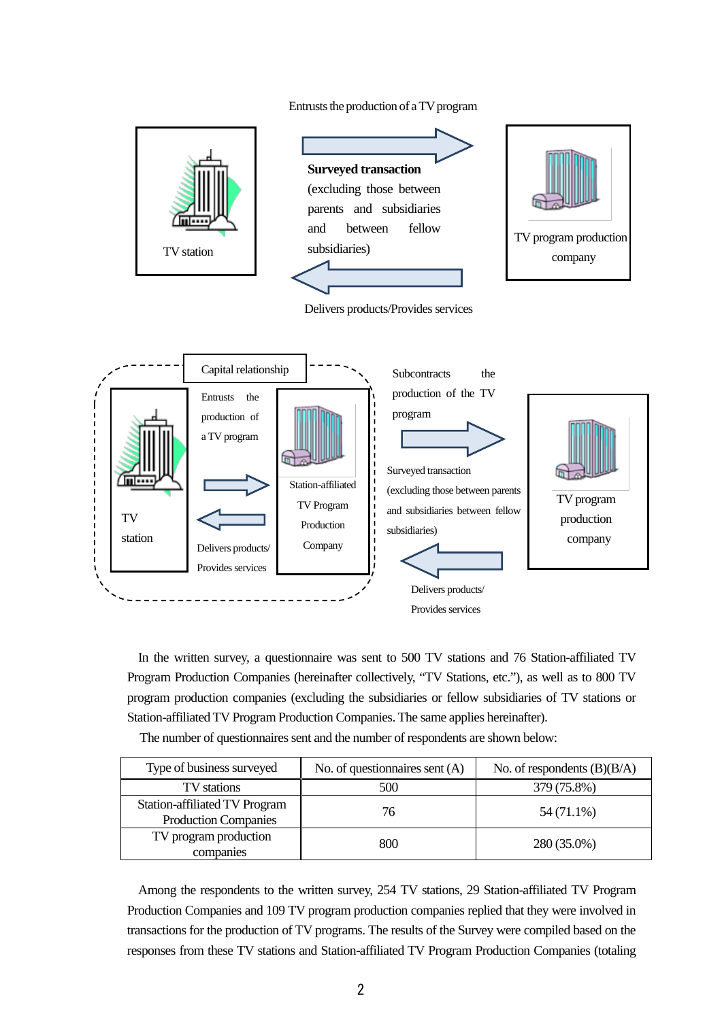# Entrusts the production of a TV program



Provides services

In the written survey, a questionnaire was sent to 500 TV stations and 76 Station-affiliated TV Program Production Companies (hereinafter collectively, "TV Stations, etc."), as well as to 800 TV program production companies (excluding the subsidiaries or fellow subsidiaries of TV stations or Station-affiliated TV Program Production Companies. The same applies hereinafter).

The number of questionnaires sent and the number of respondents are shown below:

| Type of business surveyed                                    | No. of questionnaires sent $(A)$ | No. of respondents $(B)(B/A)$ |
|--------------------------------------------------------------|----------------------------------|-------------------------------|
| TV stations                                                  | 500                              | 379 (75.8%)                   |
| Station-affiliated TV Program<br><b>Production Companies</b> | 76                               | 54 (71.1%)                    |
| TV program production<br>companies                           | 800                              | 280 (35.0%)                   |

Among the respondents to the written survey, 254 TV stations, 29 Station-affiliated TV Program Production Companies and 109 TV program production companies replied that they were involved in transactions for the production of TV programs. The results of the Survey were compiled based on the responses from these TV stations and Station-affiliated TV Program Production Companies (totaling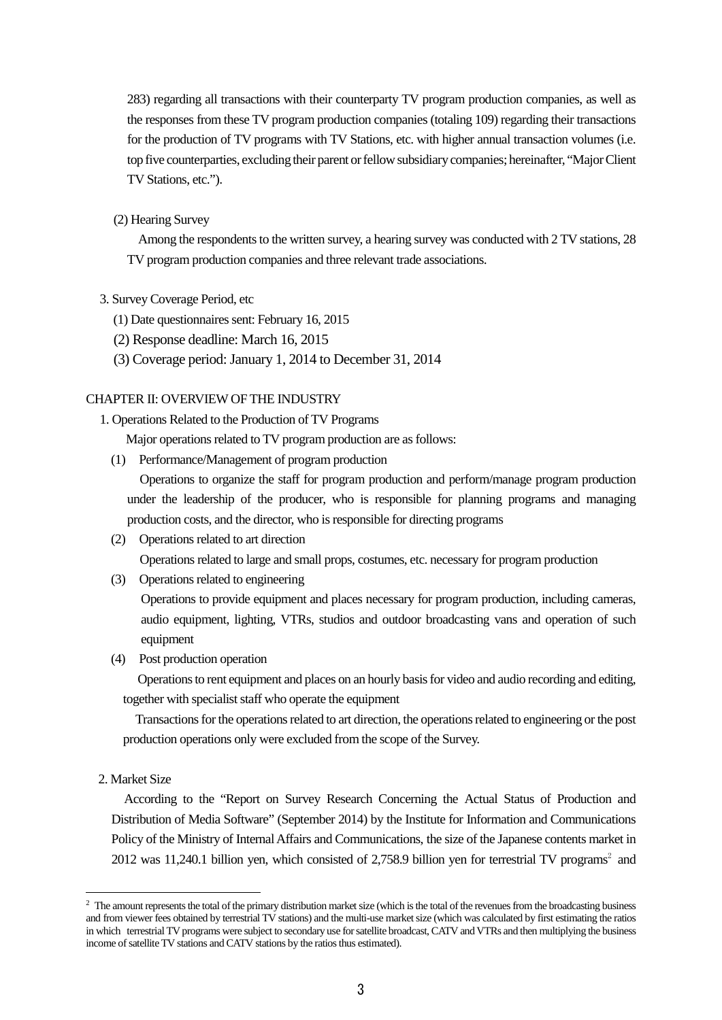283) regarding all transactions with their counterparty TV program production companies, as well as the responses from these TV program production companies (totaling 109) regarding their transactions for the production of TV programs with TV Stations, etc. with higher annual transaction volumes (i.e. top five counterparties, excluding their parent or fellow subsidiary companies; hereinafter, "Major Client TV Stations, etc.").

(2) Hearing Survey

Among the respondents to the written survey, a hearing survey was conducted with 2 TV stations, 28 TV program production companies and three relevant trade associations.

- 3. Survey Coverage Period, etc
	- (1) Date questionnaires sent: February 16, 2015
	- (2) Response deadline: March 16, 2015
	- (3) Coverage period: January 1, 2014 to December 31, 2014

# CHAPTER II: OVERVIEW OF THE INDUSTRY

1. Operations Related to the Production of TV Programs

Major operations related to TV program production are as follows:

(1) Performance/Management of program production

Operations to organize the staff for program production and perform/manage program production under the leadership of the producer, who is responsible for planning programs and managing production costs, and the director, who is responsible for directing programs

- (2) Operations related to art direction Operations related to large and small props, costumes, etc. necessary for program production
- (3) Operations related to engineering

Operations to provide equipment and places necessary for program production, including cameras, audio equipment, lighting, VTRs, studios and outdoor broadcasting vans and operation of such equipment

(4) Post production operation

Operations to rent equipment and places on an hourly basis for video and audio recording and editing, together with specialist staff who operate the equipment

Transactions for the operations related to art direction, the operations related to engineering or the post production operations only were excluded from the scope of the Survey.

2. Market Size

-

According to the "Report on Survey Research Concerning the Actual Status of Production and Distribution of Media Software" (September 2014) by the Institute for Information and Communications Policy of the Ministry of Internal Affairs and Communications, the size of the Japanese contents market in [2](#page-2-0)012 was 11,240.1 billion yen, which consisted of 2,758.9 billion yen for terrestrial TV programs<sup>2</sup> and

<span id="page-2-0"></span><sup>&</sup>lt;sup>2</sup> The amount represents the total of the primary distribution market size (which is the total of the revenues from the broadcasting business and from viewer fees obtained by terrestrial TV stations) and the multi-use market size (which was calculated by first estimating the ratios in which terrestrial TV programs were subject to secondary use for satellite broadcast, CATV and VTRs and then multiplying the business income of satellite TV stations and CATV stations by the ratios thus estimated).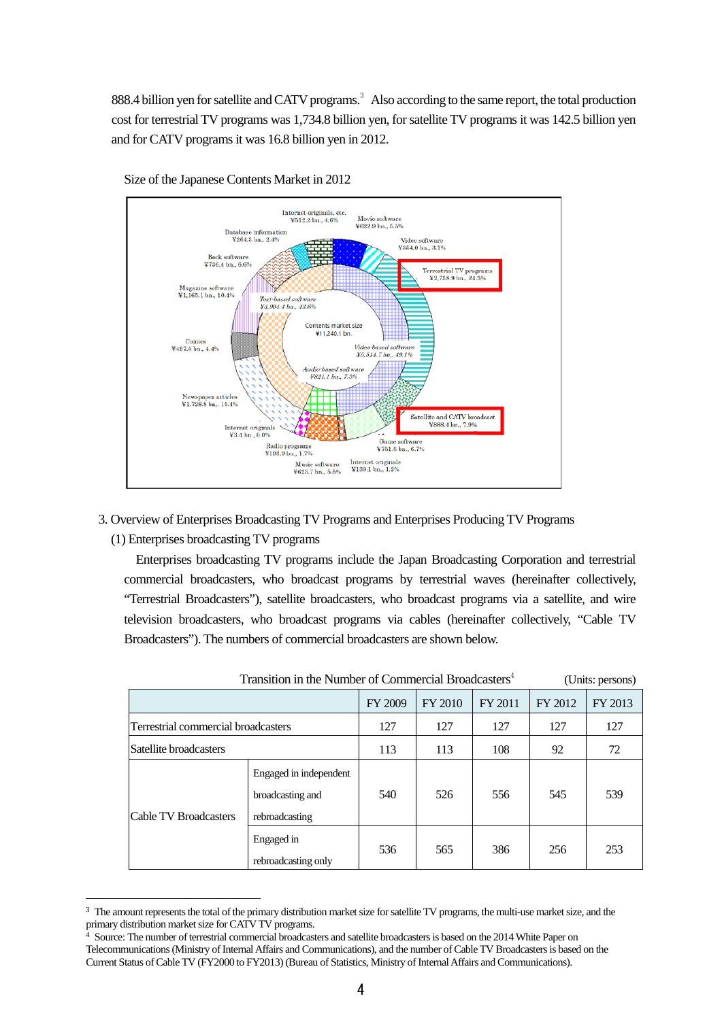888.4 billion yen for satellite and CATV programs. [3](#page-3-0) Also according to the same report, the total production cost for terrestrial TV programs was 1,734.8 billion yen, for satellite TV programs it was 142.5 billion yen and for CATV programs it was 16.8 billion yen in 2012.



Size of the Japanese Contents Market in 2012

- 3. Overview of Enterprises Broadcasting TV Programs and Enterprises Producing TV Programs
	- (1) Enterprises broadcasting TV programs

<u>.</u>

Enterprises broadcasting TV programs include the Japan Broadcasting Corporation and terrestrial commercial broadcasters, who broadcast programs by terrestrial waves (hereinafter collectively, "Terrestrial Broadcasters"), satellite broadcasters, who broadcast programs via a satellite, and wire television broadcasters, who broadcast programs via cables (hereinafter collectively, "Cable TV Broadcasters"). The numbers of commercial broadcasters are shown below.

|                                     |                                                              | Transition in the Number of Commercial Broadcasters <sup>4</sup> |                |           |         | (Units: persons) |
|-------------------------------------|--------------------------------------------------------------|------------------------------------------------------------------|----------------|-----------|---------|------------------|
|                                     |                                                              | FY 2009                                                          | <b>FY 2010</b> | FY 2011   | FY 2012 | FY 2013          |
| Terrestrial commercial broadcasters |                                                              | 127                                                              | 127            | 127       | 127     | 127              |
| Satellite broadcasters              |                                                              | 113                                                              | 113            | 108<br>92 |         | 72               |
| <b>Cable TV Broadcasters</b>        | Engaged in independent<br>broadcasting and<br>rebroadcasting | 540                                                              | 526            | 556       | 545     | 539              |
|                                     | Engaged in<br>rebroadcasting only                            | 536                                                              | 565            | 386       | 256     | 253              |

<span id="page-3-0"></span><sup>&</sup>lt;sup>3</sup> The amount represents the total of the primary distribution market size for satellite TV programs, the multi-use market size, and the primary distribution market size for CATV TV programs.

<span id="page-3-1"></span><sup>&</sup>lt;sup>4</sup> Source: The number of terrestrial commercial broadcasters and satellite broadcasters is based on the 2014 White Paper on Telecommunications (Ministry of Internal Affairs and Communications), and the number of Cable TV Broadcasters is based on the Current Status of Cable TV (FY2000 to FY2013) (Bureau of Statistics, Ministry of Internal Affairs and Communications).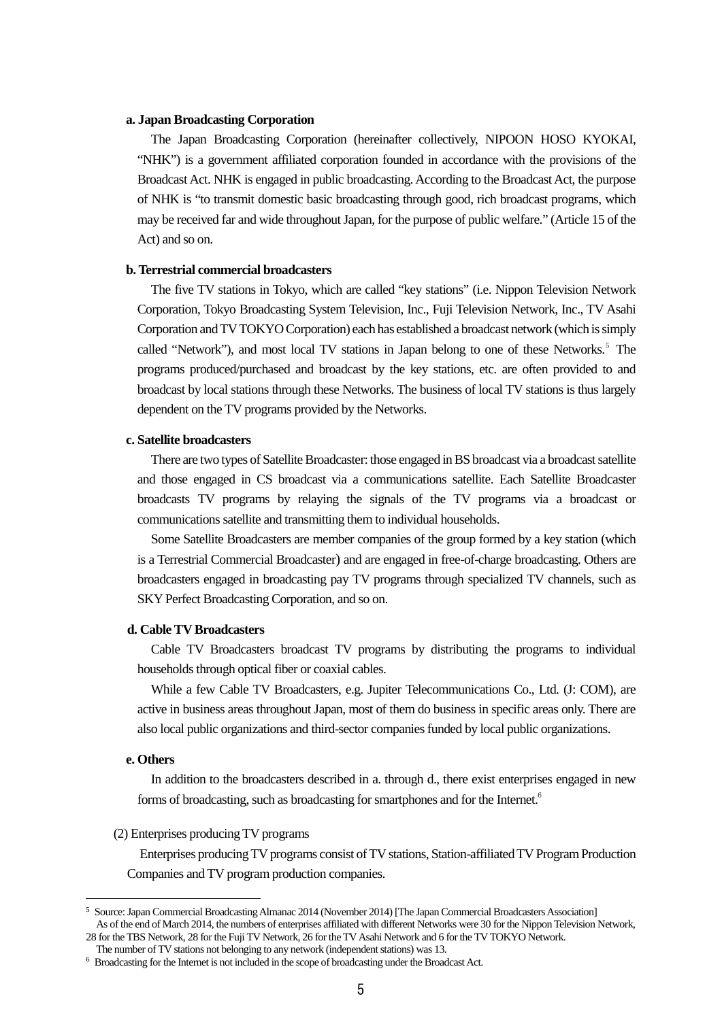## **a. Japan Broadcasting Corporation**

The Japan Broadcasting Corporation (hereinafter collectively, NIPOON HOSO KYOKAI, "NHK") is a government affiliated corporation founded in accordance with the provisions of the Broadcast Act. NHK is engaged in public broadcasting. According to the Broadcast Act, the purpose of NHK is "to transmit domestic basic broadcasting through good, rich broadcast programs, which may be received far and wide throughout Japan, for the purpose of public welfare." (Article 15 of the Act) and so on.

## **b. Terrestrial commercial broadcasters**

The five TV stations in Tokyo, which are called "key stations" (i.e. Nippon Television Network Corporation, Tokyo Broadcasting System Television, Inc., Fuji Television Network, Inc., TV Asahi Corporation and TV TOKYO Corporation) each has established a broadcast network (which is simply called "Network"), and most local TV stations in Japan belong to one of these Networks.<sup>[5](#page-4-0)</sup> The programs produced/purchased and broadcast by the key stations, etc. are often provided to and broadcast by local stations through these Networks. The business of local TV stations is thus largely dependent on the TV programs provided by the Networks.

## **c. Satellite broadcasters**

There are two types of Satellite Broadcaster: those engaged in BS broadcast via a broadcast satellite and those engaged in CS broadcast via a communications satellite. Each Satellite Broadcaster broadcasts TV programs by relaying the signals of the TV programs via a broadcast or communications satellite and transmitting them to individual households.

Some Satellite Broadcasters are member companies of the group formed by a key station (which is a Terrestrial Commercial Broadcaster) and are engaged in free-of-charge broadcasting. Others are broadcasters engaged in broadcasting pay TV programs through specialized TV channels, such as SKY Perfect Broadcasting Corporation, and so on.

### **d. Cable TV Broadcasters**

Cable TV Broadcasters broadcast TV programs by distributing the programs to individual households through optical fiber or coaxial cables.

While a few Cable TV Broadcasters, e.g. Jupiter Telecommunications Co., Ltd. (J: COM), are active in business areas throughout Japan, most of them do business in specific areas only. There are also local public organizations and third-sector companies funded by local public organizations.

## **e. Others**

<u>.</u>

In addition to the broadcasters described in a. through d., there exist enterprises engaged in new forms of broadcasting, such as broadcasting for smartphones and for the Internet.<sup>[6](#page-4-1)</sup>

#### (2) Enterprises producing TV programs

Enterprises producing TV programs consist of TV stations, Station-affiliated TV Program Production Companies and TV program production companies.

<span id="page-4-0"></span><sup>5</sup> Source:Japan Commercial Broadcasting Almanac 2014 (November 2014) [The Japan Commercial Broadcasters Association] As of the end of March 2014, the numbers of enterprises affiliated with different Networks were 30 for the Nippon Television Network,

<sup>28</sup> for the TBS Network, 28 for the Fuji TV Network, 26 for the TV Asahi Network and 6 for the TV TOKYO Network. The number of TV stations not belonging to any network (independent stations) was 13.

<span id="page-4-1"></span><sup>6</sup> Broadcasting for the Internet is not included in the scope of broadcasting under the Broadcast Act.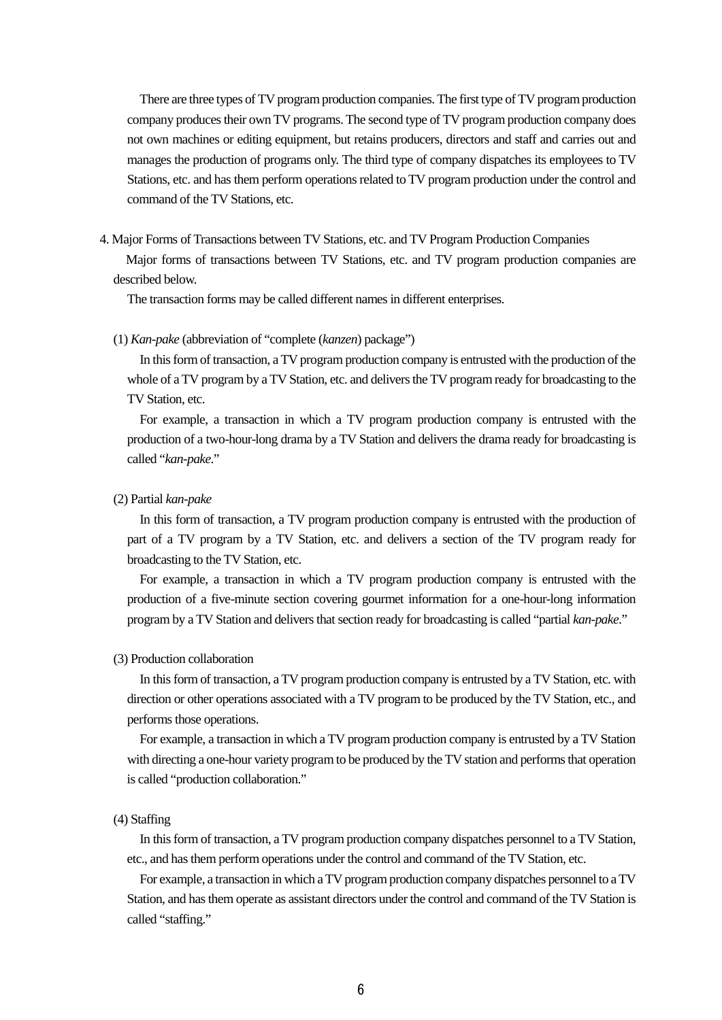There are three types of TV program production companies. The first type of TV program production company produces their own TV programs. The second type of TV program production company does not own machines or editing equipment, but retains producers, directors and staff and carries out and manages the production of programs only. The third type of company dispatches its employees to TV Stations, etc. and has them perform operations related to TV program production under the control and command of the TV Stations, etc.

4. Major Forms of Transactions between TV Stations, etc. and TV Program Production Companies

Major forms of transactions between TV Stations, etc. and TV program production companies are described below.

The transaction forms may be called different names in different enterprises.

#### (1) *Kan-pake* (abbreviation of "complete (*kanzen*) package")

In this form of transaction, a TV program production company is entrusted with the production of the whole of a TV program by a TV Station, etc. and delivers the TV program ready for broadcasting to the TV Station, etc.

For example, a transaction in which a TV program production company is entrusted with the production of a two-hour-long drama by a TV Station and delivers the drama ready for broadcasting is called "*kan-pake*."

## (2) Partial *kan-pake*

In this form of transaction, a TV program production company is entrusted with the production of part of a TV program by a TV Station, etc. and delivers a section of the TV program ready for broadcasting to the TV Station, etc.

For example, a transaction in which a TV program production company is entrusted with the production of a five-minute section covering gourmet information for a one-hour-long information program by a TV Station and delivers that section ready for broadcasting is called "partial *kan-pake*."

# (3) Production collaboration

In this form of transaction, a TV program production company is entrusted by a TV Station, etc. with direction or other operations associated with a TV program to be produced by the TV Station, etc., and performs those operations.

For example, a transaction in which a TV program production company is entrusted by a TV Station with directing a one-hour variety program to be produced by the TV station and performs that operation is called "production collaboration."

# (4) Staffing

In this form of transaction, a TV program production company dispatches personnel to a TV Station, etc., and hasthem perform operations under the control and command of the TV Station, etc.

For example, a transaction in which a TV program production company dispatches personnel to a TV Station, and hasthem operate as assistant directors under the control and command of the TV Station is called "staffing."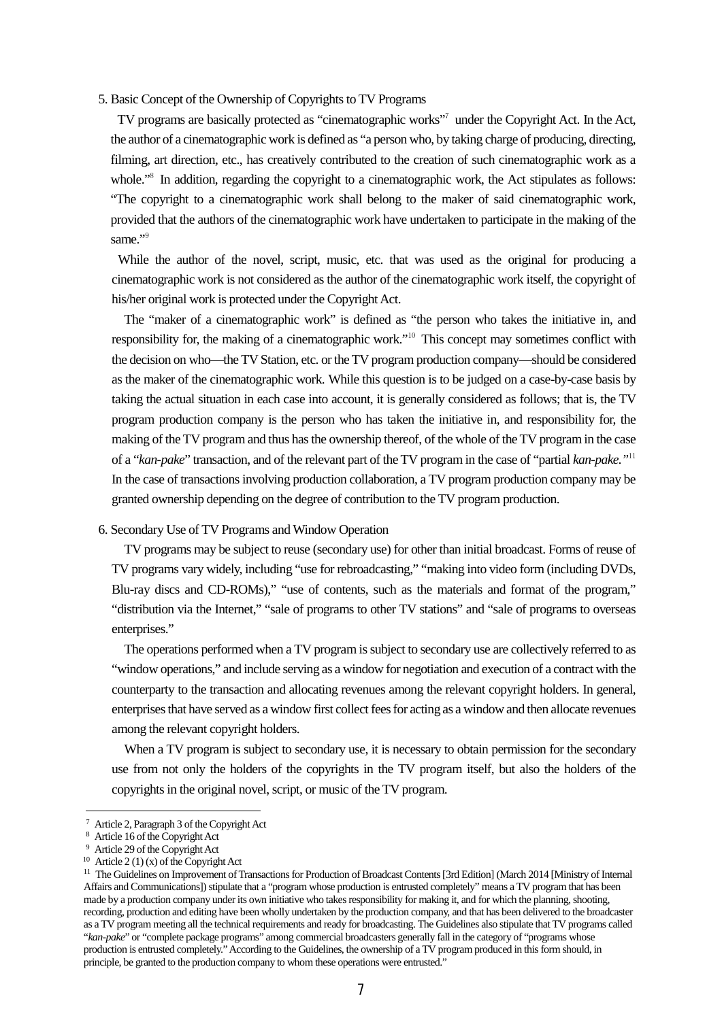# 5. Basic Concept of the Ownership of Copyrights to TV Programs

TV programs are basically protected as "cinematographic works"[7](#page-6-0) under the Copyright Act. In the Act, the author of a cinematographic work is defined as "a person who, by taking charge of producing, directing, filming, art direction, etc., has creatively contributed to the creation of such cinematographic work as a whole."<sup>[8](#page-6-1)</sup> In addition, regarding the copyright to a cinematographic work, the Act stipulates as follows: "The copyright to a cinematographic work shall belong to the maker of said cinematographic work, provided that the authors of the cinematographic work have undertaken to participate in the making of the same."<sup>[9](#page-6-2)</sup>

While the author of the novel, script, music, etc. that was used as the original for producing a cinematographic work is not considered as the author of the cinematographic work itself, the copyright of his/her original work is protected under the Copyright Act.

The "maker of a cinematographic work" is defined as "the person who takes the initiative in, and responsibility for, the making of a cinematographic work."<sup>[10](#page-6-3)</sup> This concept may sometimes conflict with the decision on who—the TV Station, etc. or the TV program production company—should be considered as the maker of the cinematographic work. While this question is to be judged on a case-by-case basis by taking the actual situation in each case into account, it is generally considered as follows; that is, the TV program production company is the person who has taken the initiative in, and responsibility for, the making of the TV program and thus has the ownership thereof, of the whole of the TV program in the case of a "*kan-pake*" transaction, and of the relevant part of the TV program in the case of "partial *kan-pake."*[11](#page-6-4) In the case of transactions involving production collaboration, a TV program production company may be granted ownership depending on the degree of contribution to the TV program production.

# 6. Secondary Use of TV Programs and Window Operation

TV programs may be subject to reuse (secondary use) for other than initial broadcast. Forms of reuse of TV programs vary widely, including "use for rebroadcasting," "making into video form (including DVDs, Blu-ray discs and CD-ROMs)," "use of contents, such as the materials and format of the program," "distribution via the Internet," "sale of programs to other TV stations" and "sale of programs to overseas enterprises."

The operations performed when a TV program is subject to secondary use are collectively referred to as "window operations," and include serving as a window for negotiation and execution of a contract with the counterparty to the transaction and allocating revenues among the relevant copyright holders. In general, enterprises that have served as a window first collect fees for acting as a window and then allocate revenues among the relevant copyright holders.

When a TV program is subject to secondary use, it is necessary to obtain permission for the secondary use from not only the holders of the copyrights in the TV program itself, but also the holders of the copyrights in the original novel, script, or music of the TV program.

<u>.</u>

<span id="page-6-0"></span><sup>7</sup> Article 2, Paragraph 3 of the Copyright Act

Article 16 of the Copyright Act

<sup>9</sup> Article 29 of the Copyright Act

<span id="page-6-3"></span><span id="page-6-2"></span><span id="page-6-1"></span><sup>&</sup>lt;sup>10</sup> Article 2 (1) (x) of the Copyright Act

<span id="page-6-4"></span><sup>&</sup>lt;sup>11</sup> The Guidelines on Improvement of Transactions for Production of Broadcast Contents [3rd Edition] (March 2014 [Ministry of Internal Affairs and Communications]) stipulate that a "program whose production is entrusted completely" means a TV program that has been made by a production company under its own initiative who takes responsibility for making it, and for which the planning, shooting, recording, production and editing have been wholly undertaken by the production company, and that has been delivered to the broadcaster as a TV program meeting all the technical requirements and ready for broadcasting. The Guidelines also stipulate that TV programs called "*kan-pake*" or "complete package programs" among commercial broadcasters generally fall in the category of "programs whose production is entrusted completely." According to the Guidelines, the ownership of a TV program produced in this form should, in principle, be granted to the production company to whom these operations were entrusted."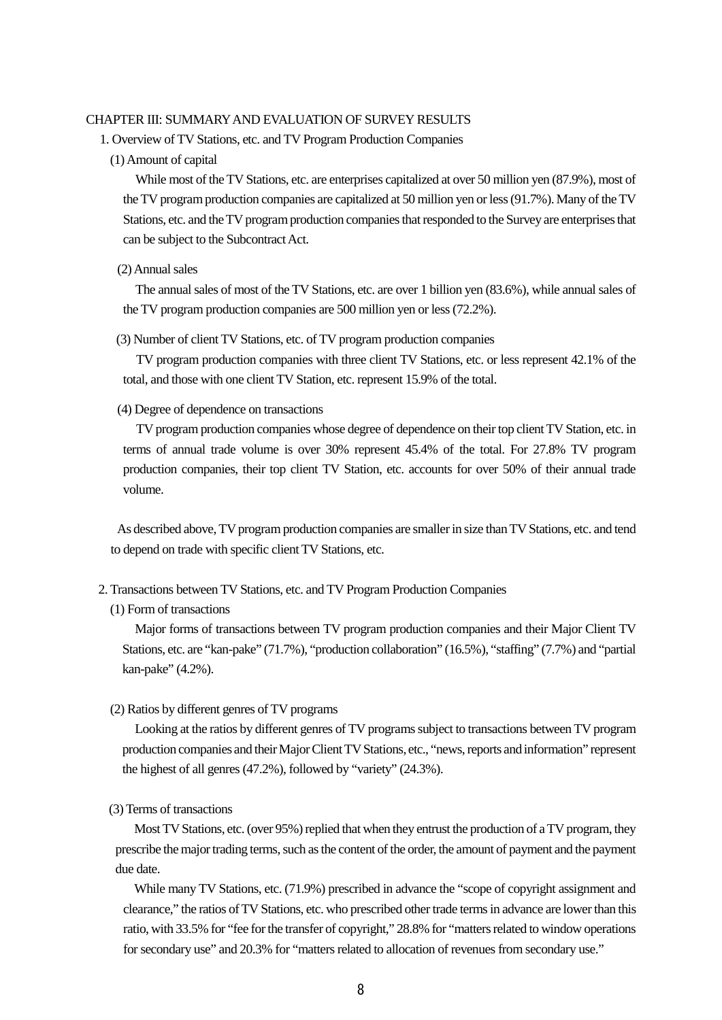## CHAPTER III: SUMMARY AND EVALUATION OF SURVEY RESULTS

- 1. Overview of TV Stations, etc. and TV Program Production Companies
	- (1) Amount of capital

While most of the TV Stations, etc. are enterprises capitalized at over 50 million yen (87.9%), most of the TV program production companies are capitalized at 50 million yen or less (91.7%). Many of the TV Stations, etc. and the TV program production companies that responded to the Survey are enterprises that can be subject to the Subcontract Act.

#### (2) Annual sales

The annual sales of most of the TV Stations, etc. are over 1 billion yen (83.6%), while annual sales of the TV program production companies are 500 million yen or less (72.2%).

(3) Number of client TV Stations, etc. of TV program production companies

TV program production companies with three client TV Stations, etc. or less represent 42.1% of the total, and those with one client TV Station, etc. represent 15.9% of the total.

(4) Degree of dependence on transactions

TV program production companies whose degree of dependence on their top client TV Station, etc. in terms of annual trade volume is over 30% represent 45.4% of the total. For 27.8% TV program production companies, their top client TV Station, etc. accounts for over 50% of their annual trade volume.

As described above, TV program production companies are smaller in size than TV Stations, etc. and tend to depend on trade with specific client TV Stations, etc.

- 2. Transactions between TV Stations, etc. and TV Program Production Companies
	- (1) Form of transactions

Major forms of transactions between TV program production companies and their Major Client TV Stations, etc. are "kan-pake" (71.7%), "production collaboration" (16.5%), "staffing" (7.7%) and "partial kan-pake" (4.2%).

(2) Ratios by different genres of TV programs

Looking at the ratios by different genres of TV programs subject to transactions between TV program production companies and their Major Client TV Stations, etc., "news, reports and information" represent the highest of all genres (47.2%), followed by "variety" (24.3%).

(3) Terms of transactions

Most TV Stations, etc. (over 95%) replied that when they entrust the production of a TV program, they prescribe the major trading terms, such as the content of the order, the amount of payment and the payment due date.

While many TV Stations, etc. (71.9%) prescribed in advance the "scope of copyright assignment and clearance," the ratios of TV Stations, etc. who prescribed other trade terms in advance are lower than this ratio, with 33.5% for "fee for the transfer of copyright," 28.8% for "matters related to window operations for secondary use" and 20.3% for "matters related to allocation of revenues from secondary use."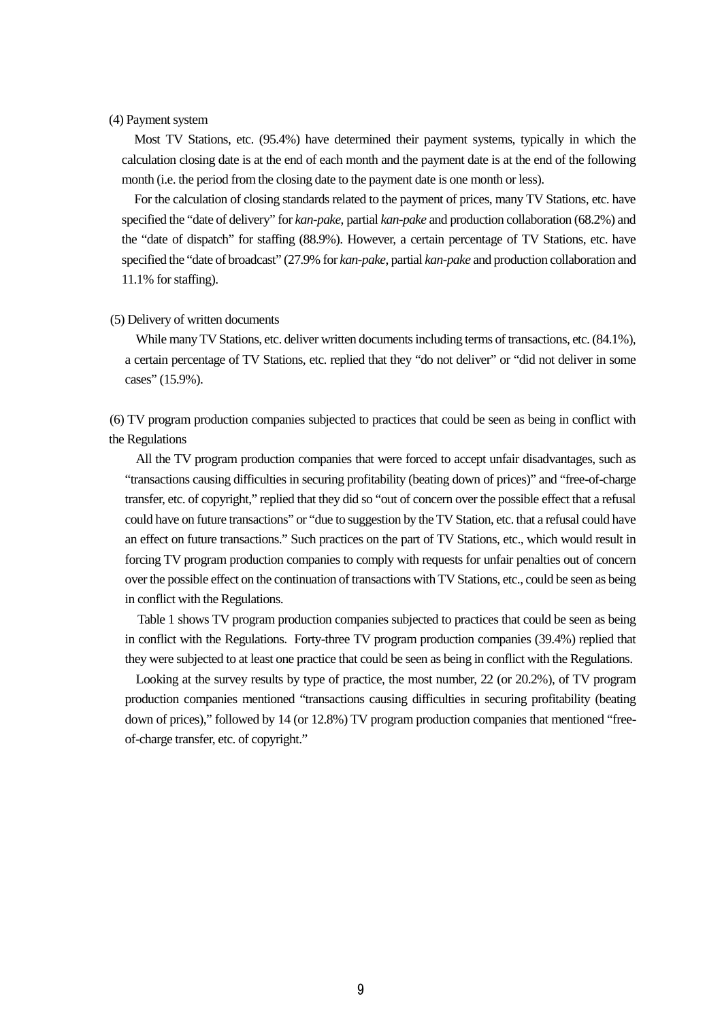# (4) Payment system

Most TV Stations, etc. (95.4%) have determined their payment systems, typically in which the calculation closing date is at the end of each month and the payment date is at the end of the following month (i.e. the period from the closing date to the payment date is one month or less).

For the calculation of closing standards related to the payment of prices, many TV Stations, etc. have specified the "date of delivery" for *kan-pake*, partial *kan-pake* and production collaboration (68.2%) and the "date of dispatch" for staffing (88.9%). However, a certain percentage of TV Stations, etc. have specified the "date of broadcast" (27.9% for *kan-pake*, partial *kan-pake* and production collaboration and 11.1% for staffing).

#### (5) Delivery of written documents

While many TV Stations, etc. deliver written documents including terms of transactions, etc.  $(84.1\%)$ , a certain percentage of TV Stations, etc. replied that they "do not deliver" or "did not deliver in some cases" (15.9%).

(6) TV program production companies subjected to practices that could be seen as being in conflict with the Regulations

All the TV program production companies that were forced to accept unfair disadvantages, such as "transactions causing difficulties in securing profitability (beating down of prices)" and "free-of-charge transfer, etc. of copyright," replied that they did so "out of concern over the possible effect that a refusal could have on future transactions" or "due to suggestion by the TV Station, etc. that a refusal could have an effect on future transactions." Such practices on the part of TV Stations, etc., which would result in forcing TV program production companies to comply with requests for unfair penalties out of concern over the possible effect on the continuation of transactions with TV Stations, etc., could be seen as being in conflict with the Regulations.

Table 1 shows TV program production companies subjected to practices that could be seen as being in conflict with the Regulations. Forty-three TV program production companies (39.4%) replied that they were subjected to at least one practice that could be seen as being in conflict with the Regulations.

Looking at the survey results by type of practice, the most number, 22 (or 20.2%), of TV program production companies mentioned "transactions causing difficulties in securing profitability (beating down of prices)," followed by 14 (or 12.8%) TV program production companies that mentioned "freeof-charge transfer, etc. of copyright."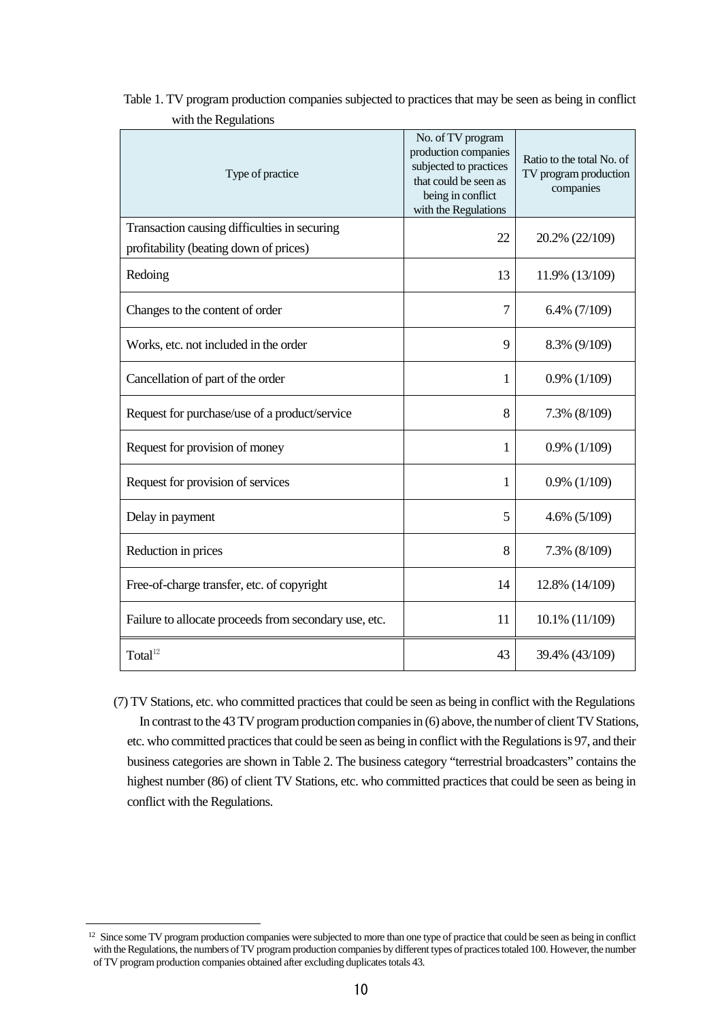| Type of practice                                                                       | No. of TV program<br>production companies<br>subjected to practices<br>that could be seen as<br>being in conflict<br>with the Regulations | Ratio to the total No. of<br>TV program production<br>companies |  |
|----------------------------------------------------------------------------------------|-------------------------------------------------------------------------------------------------------------------------------------------|-----------------------------------------------------------------|--|
| Transaction causing difficulties in securing<br>profitability (beating down of prices) | 22                                                                                                                                        | 20.2% (22/109)                                                  |  |
| Redoing                                                                                | 13                                                                                                                                        | 11.9% (13/109)                                                  |  |
| Changes to the content of order                                                        | 7                                                                                                                                         | $6.4\%$ (7/109)                                                 |  |
| Works, etc. not included in the order                                                  | 9                                                                                                                                         | 8.3% (9/109)                                                    |  |
| Cancellation of part of the order                                                      | 1                                                                                                                                         | $0.9\%$ (1/109)                                                 |  |
| Request for purchase/use of a product/service                                          | 8                                                                                                                                         | 7.3% (8/109)                                                    |  |
| Request for provision of money                                                         | 1                                                                                                                                         | $0.9\%$ (1/109)                                                 |  |
| Request for provision of services                                                      | 1                                                                                                                                         | $0.9\%$ (1/109)                                                 |  |
| Delay in payment                                                                       | 5                                                                                                                                         | $4.6\%$ (5/109)                                                 |  |
| Reduction in prices                                                                    | 8                                                                                                                                         | 7.3% (8/109)                                                    |  |
| Free-of-charge transfer, etc. of copyright                                             | 14                                                                                                                                        | 12.8% (14/109)                                                  |  |
| Failure to allocate proceeds from secondary use, etc.                                  | 11                                                                                                                                        | 10.1% (11/109)                                                  |  |
| Total <sup>12</sup>                                                                    | 43                                                                                                                                        | 39.4% (43/109)                                                  |  |

Table 1. TV program production companies subjected to practices that may be seen as being in conflict with the Regulations

(7) TV Stations, etc. who committed practicesthat could be seen as being in conflict with the Regulations In contrast to the 43 TV program production companies in (6) above, the number of client TV Stations, etc. who committed practices that could be seen as being in conflict with the Regulations is 97, and their business categories are shown in Table 2. The business category "terrestrial broadcasters" contains the highest number (86) of client TV Stations, etc. who committed practices that could be seen as being in conflict with the Regulations.

-

<span id="page-9-0"></span><sup>&</sup>lt;sup>12</sup> Since some TV program production companies were subjected to more than one type of practice that could be seen as being in conflict with the Regulations, the numbers of TV program production companies by different types of practices totaled 100. However, the number of TV program production companies obtained after excluding duplicates totals 43.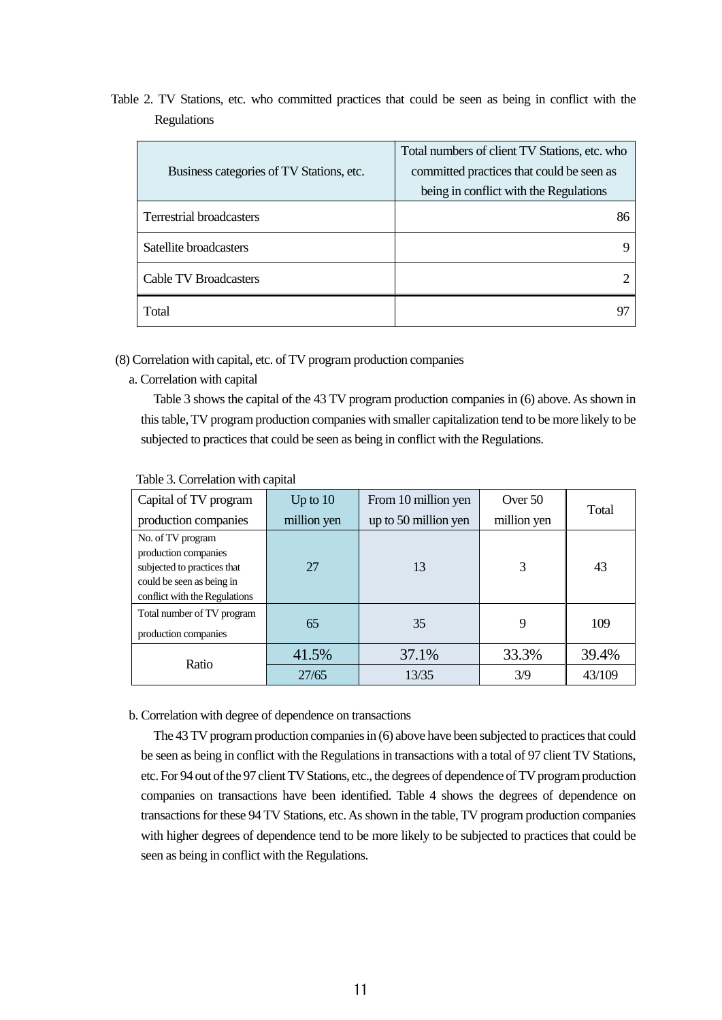Table 2. TV Stations, etc. who committed practices that could be seen as being in conflict with the Regulations

| Business categories of TV Stations, etc. | Total numbers of client TV Stations, etc. who<br>committed practices that could be seen as<br>being in conflict with the Regulations |
|------------------------------------------|--------------------------------------------------------------------------------------------------------------------------------------|
| <b>Terrestrial broadcasters</b>          | 86                                                                                                                                   |
| Satellite broadcasters                   |                                                                                                                                      |
| <b>Cable TV Broadcasters</b>             |                                                                                                                                      |
| Total                                    |                                                                                                                                      |

(8) Correlation with capital, etc. of TV program production companies

a. Correlation with capital

Table 3 shows the capital of the 43 TV program production companies in (6) above. As shown in this table, TV program production companies with smaller capitalization tend to be more likely to be subjected to practices that could be seen as being in conflict with the Regulations.

| Capital of TV program                                                                                                                  | Up to $10$  | From 10 million yen  | Over 50     |        |
|----------------------------------------------------------------------------------------------------------------------------------------|-------------|----------------------|-------------|--------|
| production companies                                                                                                                   | million yen | up to 50 million yen | million yen | Total  |
| No. of TV program<br>production companies<br>subjected to practices that<br>could be seen as being in<br>conflict with the Regulations | 27          | 13                   | 3           | 43     |
| Total number of TV program<br>production companies                                                                                     | 65          | 35                   | 9           | 109    |
| Ratio                                                                                                                                  | 41.5%       | 37.1%                | 33.3%       | 39.4%  |
|                                                                                                                                        | 27/65       | 13/35                | 3/9         | 43/109 |

Table 3. Correlation with capital

b. Correlation with degree of dependence on transactions

The 43 TV program production companies in (6) above have been subjected to practices that could be seen as being in conflict with the Regulations in transactions with a total of 97 client TV Stations, etc. For 94 out of the 97 client TV Stations, etc., the degrees of dependence of TV program production companies on transactions have been identified. Table 4 shows the degrees of dependence on transactions for these 94 TV Stations, etc. As shown in the table, TV program production companies with higher degrees of dependence tend to be more likely to be subjected to practices that could be seen as being in conflict with the Regulations.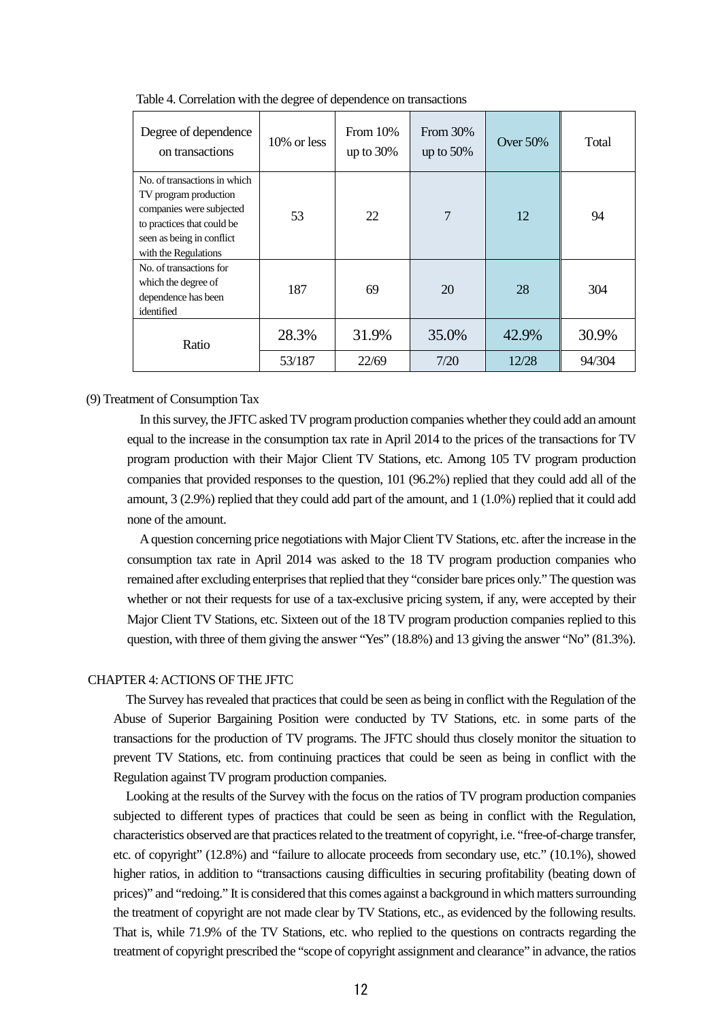| Degree of dependence<br>on transactions                                                                                                                              | $10\%$ or less | From 10%<br>up to $30\%$ | From 30%<br>up to $50\%$ | <b>Over 50%</b> | Total  |
|----------------------------------------------------------------------------------------------------------------------------------------------------------------------|----------------|--------------------------|--------------------------|-----------------|--------|
| No. of transactions in which<br>TV program production<br>companies were subjected<br>to practices that could be<br>seen as being in conflict<br>with the Regulations | 53             | 22                       | 7                        | 12              | 94     |
| No. of transactions for<br>which the degree of<br>dependence has been<br>identified                                                                                  | 187            | 69                       | 20                       | 28              | 304    |
| Ratio                                                                                                                                                                | 28.3%          | 31.9%                    | 35.0%                    | 42.9%           | 30.9%  |
|                                                                                                                                                                      | 53/187         | 22/69                    | 7/20                     | 12/28           | 94/304 |

Table 4. Correlation with the degree of dependence on transactions

(9) Treatment of Consumption Tax

In this survey, the JFTC asked TV program production companies whether they could add an amount equal to the increase in the consumption tax rate in April 2014 to the prices of the transactions for TV program production with their Major Client TV Stations, etc. Among 105 TV program production companies that provided responses to the question, 101 (96.2%) replied that they could add all of the amount, 3 (2.9%) replied that they could add part of the amount, and 1 (1.0%) replied that it could add none of the amount.

A question concerning price negotiations with Major Client TV Stations, etc. after the increase in the consumption tax rate in April 2014 was asked to the 18 TV program production companies who remained after excluding enterprises that replied that they "consider bare prices only." The question was whether or not their requests for use of a tax-exclusive pricing system, if any, were accepted by their Major Client TV Stations, etc. Sixteen out of the 18 TV program production companies replied to this question, with three of them giving the answer "Yes" (18.8%) and 13 giving the answer "No" (81.3%).

# CHAPTER 4: ACTIONS OF THE JFTC

The Survey has revealed that practices that could be seen as being in conflict with the Regulation of the Abuse of Superior Bargaining Position were conducted by TV Stations, etc. in some parts of the transactions for the production of TV programs. The JFTC should thus closely monitor the situation to prevent TV Stations, etc. from continuing practices that could be seen as being in conflict with the Regulation against TV program production companies.

Looking at the results of the Survey with the focus on the ratios of TV program production companies subjected to different types of practices that could be seen as being in conflict with the Regulation, characteristics observed are that practices related to the treatment of copyright, i.e. "free-of-charge transfer, etc. of copyright" (12.8%) and "failure to allocate proceeds from secondary use, etc." (10.1%), showed higher ratios, in addition to "transactions causing difficulties in securing profitability (beating down of prices)" and "redoing." It is considered that this comes against a background in which matters surrounding the treatment of copyright are not made clear by TV Stations, etc., as evidenced by the following results. That is, while 71.9% of the TV Stations, etc. who replied to the questions on contracts regarding the treatment of copyright prescribed the "scope of copyright assignment and clearance" in advance, the ratios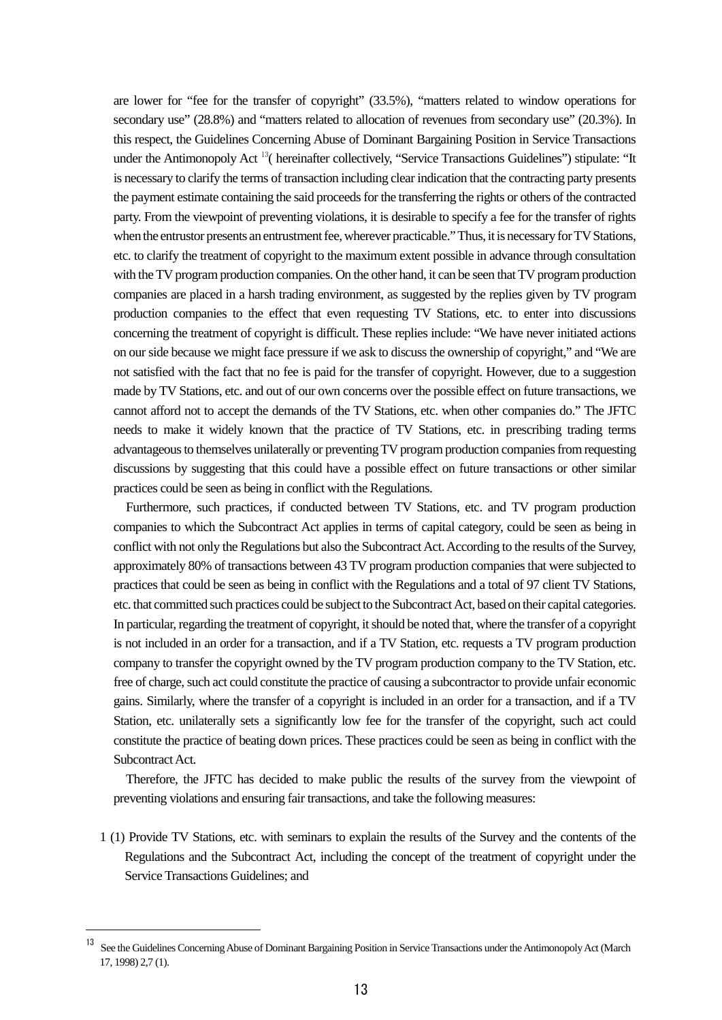are lower for "fee for the transfer of copyright" (33.5%), "matters related to window operations for secondary use" (28.8%) and "matters related to allocation of revenues from secondary use" (20.3%). In this respect, the Guidelines Concerning Abuse of Dominant Bargaining Position in Service Transactions under the Antimonopoly Act<sup>[13](#page-12-0)</sup>( hereinafter collectively, "Service Transactions Guidelines") stipulate: "It is necessary to clarify the terms of transaction including clear indication that the contracting party presents the payment estimate containing the said proceeds for the transferring the rights or others of the contracted party. From the viewpoint of preventing violations, it is desirable to specify a fee for the transfer of rights when the entrustor presents an entrustment fee, wherever practicable." Thus, it is necessary for TV Stations, etc. to clarify the treatment of copyright to the maximum extent possible in advance through consultation with the TV program production companies. On the other hand, it can be seen that TV program production companies are placed in a harsh trading environment, as suggested by the replies given by TV program production companies to the effect that even requesting TV Stations, etc. to enter into discussions concerning the treatment of copyright is difficult. These replies include: "We have never initiated actions on our side because we might face pressure if we ask to discussthe ownership of copyright," and "We are not satisfied with the fact that no fee is paid for the transfer of copyright. However, due to a suggestion made by TV Stations, etc. and out of our own concerns over the possible effect on future transactions, we cannot afford not to accept the demands of the TV Stations, etc. when other companies do." The JFTC needs to make it widely known that the practice of TV Stations, etc. in prescribing trading terms advantageous to themselves unilaterally or preventing TV program production companies from requesting discussions by suggesting that this could have a possible effect on future transactions or other similar practices could be seen as being in conflict with the Regulations.

Furthermore, such practices, if conducted between TV Stations, etc. and TV program production companies to which the Subcontract Act applies in terms of capital category, could be seen as being in conflict with not only the Regulations but also the Subcontract Act. According to the results of the Survey, approximately 80% of transactions between 43 TV program production companies that were subjected to practices that could be seen as being in conflict with the Regulations and a total of 97 client TV Stations, etc. that committed such practices could be subject to the Subcontract Act, based on their capital categories. In particular, regarding the treatment of copyright, it should be noted that, where the transfer of a copyright is not included in an order for a transaction, and if a TV Station, etc. requests a TV program production company to transfer the copyright owned by the TV program production company to the TV Station, etc. free of charge, such act could constitute the practice of causing a subcontractor to provide unfair economic gains. Similarly, where the transfer of a copyright is included in an order for a transaction, and if a TV Station, etc. unilaterally sets a significantly low fee for the transfer of the copyright, such act could constitute the practice of beating down prices. These practices could be seen as being in conflict with the Subcontract Act.

Therefore, the JFTC has decided to make public the results of the survey from the viewpoint of preventing violations and ensuring fair transactions, and take the following measures:

1 (1) Provide TV Stations, etc. with seminars to explain the results of the Survey and the contents of the Regulations and the Subcontract Act, including the concept of the treatment of copyright under the Service Transactions Guidelines; and

<u>.</u>

<span id="page-12-0"></span><sup>&</sup>lt;sup>13</sup> See the Guidelines Concerning Abuse of Dominant Bargaining Position in Service Transactions under the Antimonopoly Act (March 17, 1998) 2,7 (1).